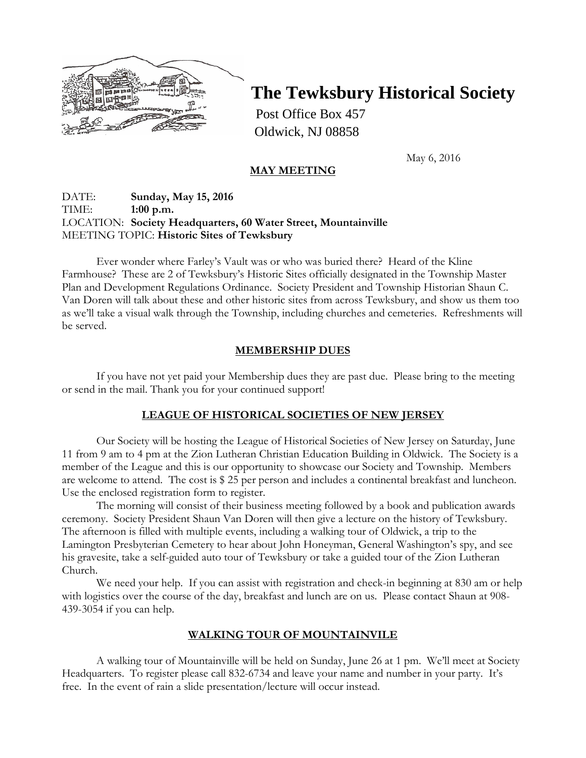

# **The Tewksbury Historical Society**

Post Office Box 457 Oldwick, NJ 08858

May 6, 2016

## **MAY MEETING**

## DATE: **Sunday, May 15, 2016** TIME: **1:00 p.m.** LOCATION: **Society Headquarters, 60 Water Street, Mountainville** MEETING TOPIC: **Historic Sites of Tewksbury**

Ever wonder where Farley's Vault was or who was buried there? Heard of the Kline Farmhouse? These are 2 of Tewksbury's Historic Sites officially designated in the Township Master Plan and Development Regulations Ordinance. Society President and Township Historian Shaun C. Van Doren will talk about these and other historic sites from across Tewksbury, and show us them too as we'll take a visual walk through the Township, including churches and cemeteries. Refreshments will be served.

#### **MEMBERSHIP DUES**

If you have not yet paid your Membership dues they are past due. Please bring to the meeting or send in the mail. Thank you for your continued support!

#### **LEAGUE OF HISTORICAL SOCIETIES OF NEW JERSEY**

Our Society will be hosting the League of Historical Societies of New Jersey on Saturday, June 11 from 9 am to 4 pm at the Zion Lutheran Christian Education Building in Oldwick. The Society is a member of the League and this is our opportunity to showcase our Society and Township. Members are welcome to attend. The cost is \$ 25 per person and includes a continental breakfast and luncheon. Use the enclosed registration form to register.

The morning will consist of their business meeting followed by a book and publication awards ceremony. Society President Shaun Van Doren will then give a lecture on the history of Tewksbury. The afternoon is filled with multiple events, including a walking tour of Oldwick, a trip to the Lamington Presbyterian Cemetery to hear about John Honeyman, General Washington's spy, and see his gravesite, take a self-guided auto tour of Tewksbury or take a guided tour of the Zion Lutheran Church.

We need your help. If you can assist with registration and check-in beginning at 830 am or help with logistics over the course of the day, breakfast and lunch are on us. Please contact Shaun at 908- 439-3054 if you can help.

#### **WALKING TOUR OF MOUNTAINVILE**

A walking tour of Mountainville will be held on Sunday, June 26 at 1 pm. We'll meet at Society Headquarters. To register please call 832-6734 and leave your name and number in your party. It's free. In the event of rain a slide presentation/lecture will occur instead.